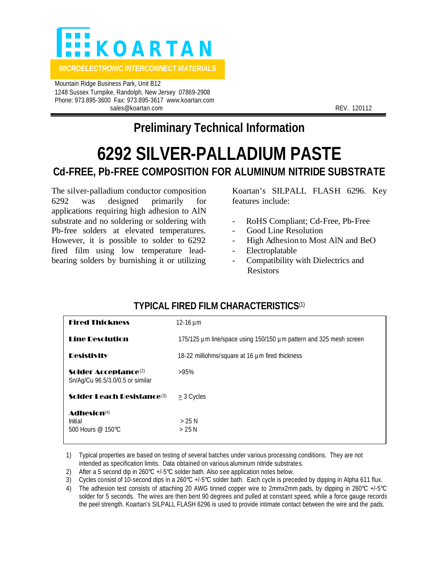

 Mountain Ridge Business Park, Unit B12 1248 Sussex Turnpike, Randolph, New Jersey 07869-2908 Phone: 973.895-3600 Fax: 973.895-3617 www.koartan.com sales@koartan.com **REV. 120112** 

## **Preliminary Technical Information**

# **6292 SILVER-PALLADIUM PASTE Cd-FREE, Pb-FREE COMPOSITION FOR ALUMINUM NITRIDE SUBSTRATE**

The silver-palladium conductor composition 6292 was designed primarily for applications requiring high adhesion to AlN substrate and no soldering or soldering with Pb-free solders at elevated temperatures. However, it is possible to solder to 6292 fired film using low temperature leadbearing solders by burnishing it or utilizing

Koartan's SILPALL FLASH 6296. Key features include:

- RoHS Compliant; Cd-Free, Pb-Free
- Good Line Resolution
- High Adhesion to Most AlN and BeO
- Electroplatable
- Compatibility with Dielectrics and Resistors

| <b>Fired Thickness</b>                                               | $12 - 16 \mu m$                                                    |
|----------------------------------------------------------------------|--------------------------------------------------------------------|
| <b>Line Desolution</b>                                               | 175/125 µm line/space using 150/150 µm pattern and 325 mesh screen |
| <b>Desistivity</b>                                                   | 18-22 milliohms/square at 16 µm fired thickness                    |
| Solder Acceptance <sup>(2)</sup><br>Sn/Ag/Cu 96.5/3.0/0.5 or similar | >95%                                                               |
| <b>Solder Leach Resistance</b> (3)                                   | $\geq$ 3 Cycles                                                    |
| Adhesin(4)<br>Initial<br>500 Hours $@$ 150°C.                        | $>25$ N<br>> 25 N                                                  |

## **TYPICAL FIRED FILM CHARACTERISTICS**(1)

1) Typical properties are based on testing of several batches under various processing conditions. They are not intended as specification limits. Data obtained on various aluminum nitride substrates.

2) After a 5 second dip in 260°C +/-5°C solder bath. Also see application notes below.

3) Cycles consist of 10-second dips in a 260°C +/-5°C solder bath. Each cycle is preceded by dipping in Alpha 611 flux.

4) The adhesion test consists of attaching 20 AWG tinned copper wire to 2mmx2mm pads, by dipping in 260°C +/-5°C solder for 5 seconds. The wires are then bent 90 degrees and pulled at constant speed, while a force gauge records the peel strength. Koartan's SILPALL FLASH 6296 is used to provide intimate contact between the wire and the pads.